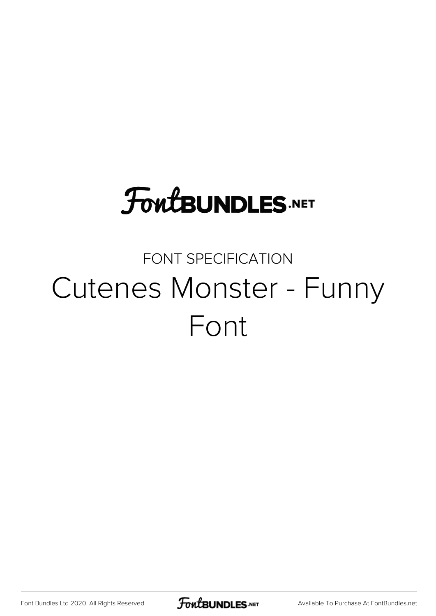# **FoutBUNDLES.NET**

### FONT SPECIFICATION Cutenes Monster - Funny Font

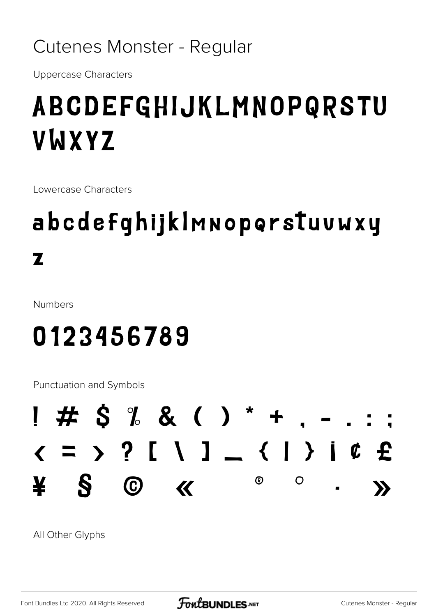#### Cutenes Monster - Regular

**Uppercase Characters** 

## ABCDEFGHIJKLMNOPQRSTU VWXYZ

Lowercase Characters

## abcdefqhijklmnoporstuvwxy  $\mathbf{z}$

**Numbers** 

## 0123456789

**Punctuation and Symbols** 



All Other Glyphs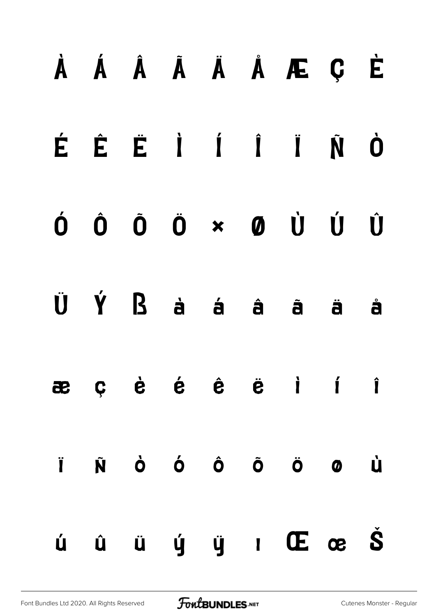|    |  |  | À Á Â Ã Ä Å Æ Ç È                                                                                                                                                                                        |   |
|----|--|--|----------------------------------------------------------------------------------------------------------------------------------------------------------------------------------------------------------|---|
|    |  |  | ÉÉÈRIÍIÑÒ                                                                                                                                                                                                |   |
|    |  |  | $\begin{array}{ccccccccccccccccc} \bullet & \hat{\bullet} & \hat{\bullet} & \hat{\bullet} & \hat{\bullet} & \star & \bullet & \dot{\bullet} & \dot{\bullet} & \dot{\bullet} & \dot{\bullet} \end{array}$ |   |
|    |  |  | $\ddot{\mathbf{U}}$ $\acute{\mathbf{Y}}$ $\mathbf{B}$ $\dot{\mathbf{a}}$ $\acute{\mathbf{a}}$ $\acute{\mathbf{a}}$ $\ddot{\mathbf{a}}$ $\ddot{\mathbf{a}}$ $\ddot{\mathbf{a}}$                           | å |
|    |  |  | æçèé ê ë i í î                                                                                                                                                                                           |   |
| Ï. |  |  | Ñ Ò Ó Ô Õ Ö Ø Ù                                                                                                                                                                                          |   |
| Ú  |  |  | $\hat{u}$ $\hat{u}$ $\hat{y}$ $\hat{y}$ $\hat{w}$ $\hat{w}$ $\hat{w}$ $\hat{S}$                                                                                                                          |   |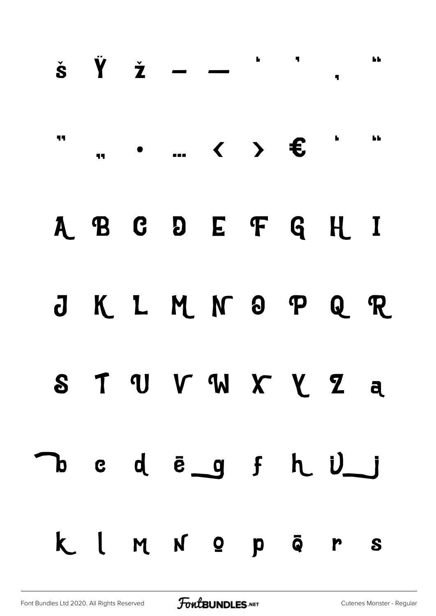|    |  |  | $\check{\mathbf{s}}$ $\check{\mathbf{Y}}$ $\check{\mathbf{z}}$ $  \check{\mathbf{z}}$ $\mathbf{y}$ |  | h b |
|----|--|--|----------------------------------------------------------------------------------------------------|--|-----|
| 11 |  |  |                                                                                                    |  |     |
|    |  |  | A B C D E F G H I                                                                                  |  |     |
|    |  |  | J K L M N O P Q R                                                                                  |  |     |
|    |  |  | STUVWXYZa                                                                                          |  |     |
|    |  |  | DedegfhUj                                                                                          |  |     |
|    |  |  | KIMN OPĀrs                                                                                         |  |     |